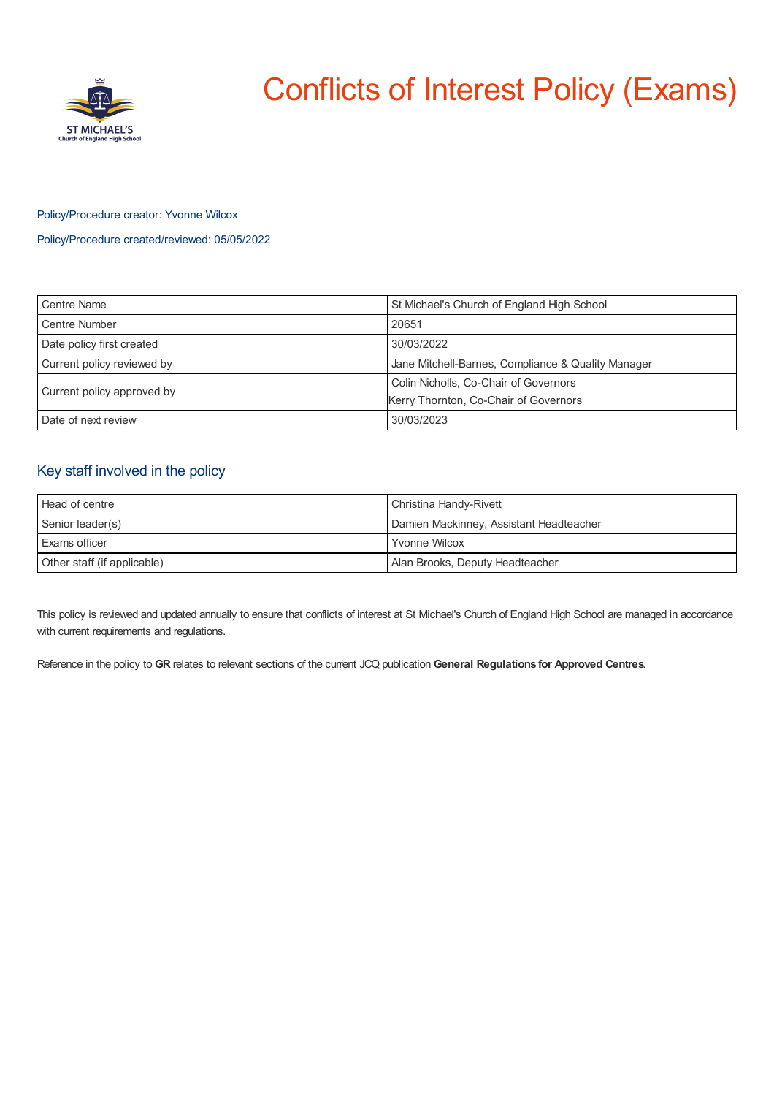

# Conflicts of Interest Policy (Exams)

## Policy/Procedure creator: Yvonne Wilcox

Policy/Procedure created/reviewed: 05/05/2022

| Centre Name                | St Michael's Church of England High School         |
|----------------------------|----------------------------------------------------|
| Centre Number              | 20651                                              |
| Date policy first created  | 30/03/2022                                         |
| Current policy reviewed by | Jane Mitchell-Barnes, Compliance & Quality Manager |
| Current policy approved by | Colin Nicholls, Co-Chair of Governors              |
|                            | Kerry Thornton, Co-Chair of Governors              |
| Date of next review        | 30/03/2023                                         |

# Key staff involved in the policy

| <b>Head of centre</b>       | Christina Handy-Rivett                  |
|-----------------------------|-----------------------------------------|
| Senior leader(s)            | Damien Mackinney, Assistant Headteacher |
| <b>Exams officer</b>        | <b>Yvonne Wilcox</b>                    |
| Other staff (if applicable) | Alan Brooks, Deputy Headteacher         |

This policy is reviewed and updated annually to ensure that conflicts of interest at St Michael's Church of England High School are managed in accordance with current requirements and regulations.

Reference in the policy to **GR** relates to relevant sections of the current JCQ publication **General Regulations for Approved Centres**.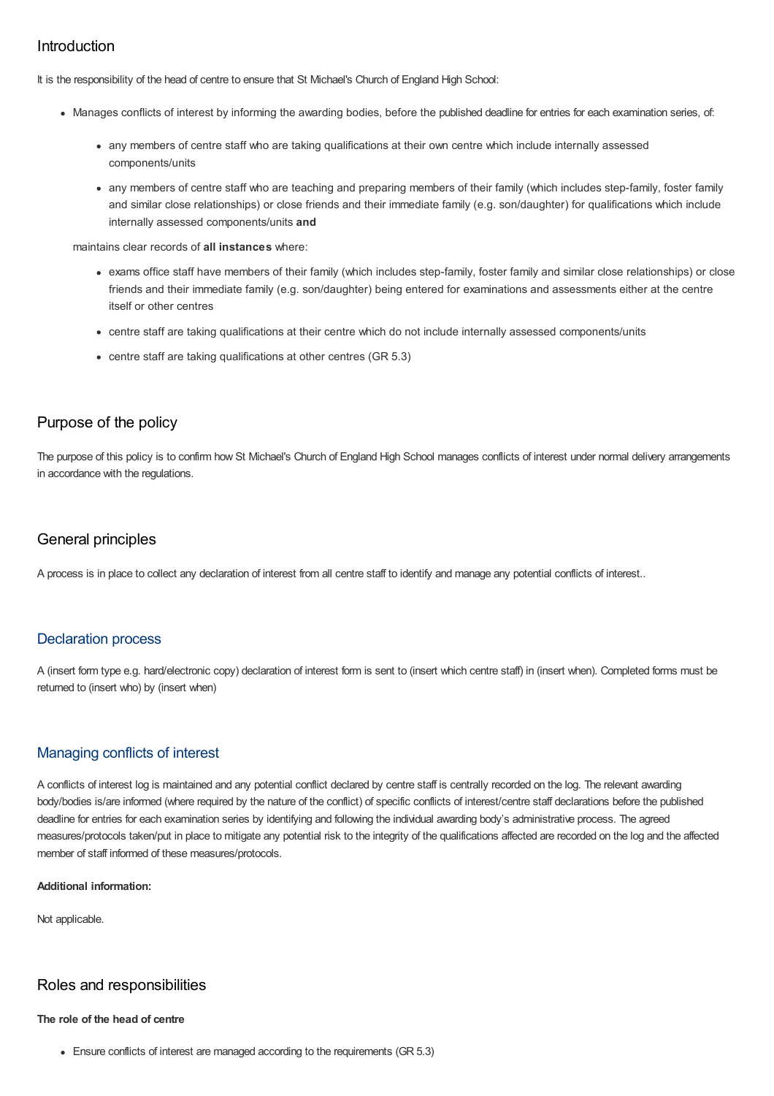# Introduction

It is the responsibility of the head of centre to ensure that St Michael's Church of England High School:

- Manages conflicts of interest by informing the awarding bodies, before the published deadline for entries for each examination series, of:
	- any members of centre staff who are taking qualifications at their own centre which include internally assessed components/units
	- any members of centre staff who are teaching and preparing members of their family (which includes step-family, foster family and similar close relationships) or close friends and their immediate family (e.g. son/daughter) for qualifications which include internally assessed components/units **and**

maintains clear records of **all instances** where:

- exams office staff have members of their family (which includes step-family, foster family and similar close relationships) or close friends and their immediate family (e.g. son/daughter) being entered for examinations and assessments either at the centre itself or other centres
- centre staff are taking qualifications at their centre which do not include internally assessed components/units
- centre staff are taking qualifications at other centres (GR 5.3)

# Purpose of the policy

The purpose of this policy is to confirm how St Michael's Church of England High School manages conflicts of interest under normal delivery arrangements in accordance with the regulations.

# General principles

A process is in place to collect any declaration of interest from all centre staff to identify and manage any potential conflicts of interest..

## Declaration process

A (insert form type e.g. hard/electronic copy) declaration of interest form is sent to (insert which centre staff) in (insert when). Completed forms must be returned to (insert who) by (insert when)

## Managing conflicts of interest

A conflicts of interest log is maintained and any potential conflict declared by centre staff is centrally recorded on the log. The relevant awarding body/bodies is/are informed (where required by the nature of the conflict) of specific conflicts of interest/centre staff declarations before the published deadline for entries for each examination series by identifying and following the individual awarding body's administrative process. The agreed measures/protocols taken/put in place to mitigate any potential risk to the integrity of the qualifications affected are recorded on the log and the affected member of staff informed of these measures/protocols.

#### **Additional information:**

Not applicable.

# Roles and responsibilities

### **The role of the head of centre**

Ensure conflicts of interest are managed according to the requirements (GR 5.3)